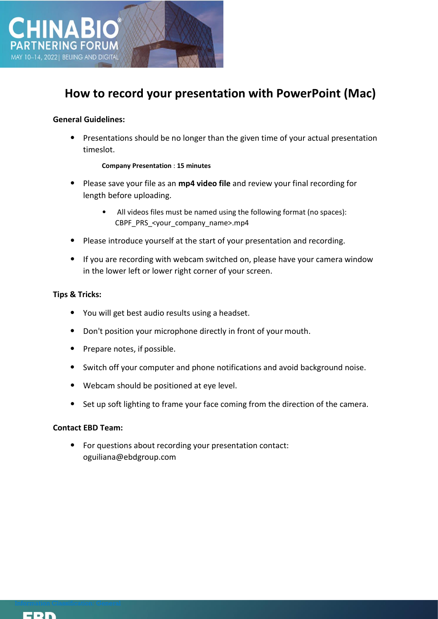

# **How to record your presentation with PowerPoint (Mac)**

# **General Guidelines:**

• Presentations should be no longer than the given time of your actual presentation timeslot.

## **Company Presentation** : **15 minutes**

- Please save your file as an **mp4 video file** and review your final recording for length before uploading.
	- All videos files must be named using the following format (no spaces): CBPF\_PRS\_<your\_company\_name>.mp4
- Please introduce yourself at the start of your presentation and recording.
- If you are recording with webcam switched on, please have your camera window in the lower left or lower right corner of your screen.

## **Tips & Tricks:**

- You will get best audio results using a headset.
- Don't position your microphone directly in front of your mouth.
- Prepare notes, if possible.
- Switch off your computer and phone notifications and avoid background noise.
- Webcam should be positioned at eye level.
- Set up soft lighting to frame your face coming from the direction of the camera.

## **Contact EBD Team:**

• For questions about recording your presentation contact: oguiliana@ebdgroup.com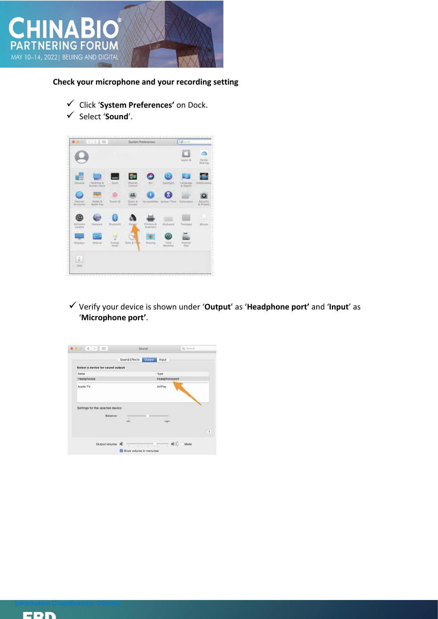

**Check your microphone and your recording setting**

- ✓ Click '**System Preferences'** on Dock.
- ✓ Select '**Sound**'.



✓ Verify your device is shown under '**Output**' as '**Headphone port'** and '**Input**' as '**Microphone port'**.

|                                               | Sound Effects Dutput | <i>Input</i>   |  |
|-----------------------------------------------|----------------------|----------------|--|
| Select a device for sound output:             |                      |                |  |
| Name.                                         |                      | Type           |  |
| Headphones                                    |                      | Headphone port |  |
| Apple TV                                      |                      | AirPlay        |  |
| Settings for the selected device:<br>Balance: | ×                    | ٠              |  |
|                                               | ieft                 | right          |  |
|                                               |                      |                |  |

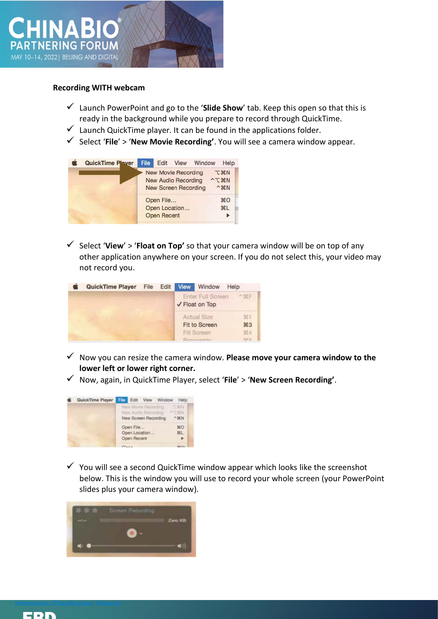

#### **Recording WITH webcam**

- ✓ Launch PowerPoint and go to the '**Slide Show**' tab. Keep this open so that this is ready in the background while you prepare to record through QuickTime.
- $\checkmark$  Launch QuickTime player. It can be found in the applications folder.
- ✓ Select '**File**' > '**New Movie Recording'**. You will see a camera window appear.

| QuickTime Player | File |                                 |                                                                                  | Edit View Window |                                                                 | Help                  |
|------------------|------|---------------------------------|----------------------------------------------------------------------------------|------------------|-----------------------------------------------------------------|-----------------------|
|                  |      |                                 | New Movie Recording<br><b>New Audio Recording</b><br><b>New Screen Recording</b> |                  | <b>T</b> HN<br>$\sim$ $\sqrt{8}$ N<br>$^{\sim}$ $\mathcal{H}$ N |                       |
|                  |      | Open File<br><b>Open Recent</b> | Open Location                                                                    |                  |                                                                 | $*$<br>H <sub>L</sub> |

 $\checkmark$  Select 'View' > 'Float on Top' so that your camera window will be on top of any other application anywhere on your screen. If you do not select this, your video may not record you.

| <b>QuickTime Player</b> | File | Edit | View                                       | Window                              | Help          |
|-------------------------|------|------|--------------------------------------------|-------------------------------------|---------------|
|                         |      |      | <b>Enter Full Screen</b><br>✔ Float on Top |                                     | へ銀F           |
|                         |      |      |                                            | <b>Actual Size</b><br>Fit to Screen | 38.1<br>$\#3$ |
|                         |      |      |                                            | Fill Screen                         | 964           |
|                         |      |      |                                            | Bostoniania                         | 985           |

- ✓ Now you can resize the camera window. **Please move your camera window to the lower left or lower right corner.**
- ✓ Now, again, in QuickTime Player, select '**File**' > '**New Screen Recording'**.



 $\checkmark$  You will see a second QuickTime window appear which looks like the screenshot below. This is the window you will use to record your whole screen (your PowerPoint slides plus your camera window).



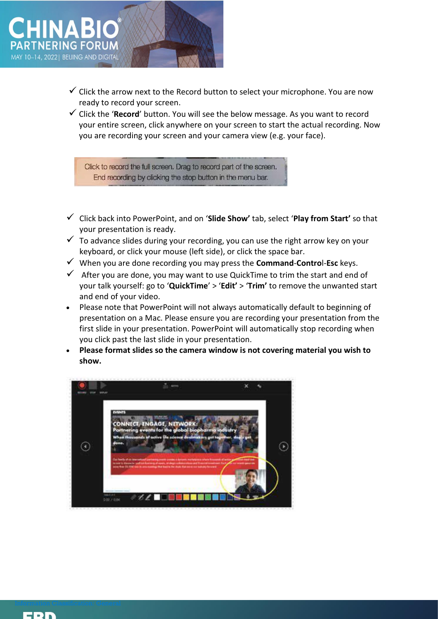

- $\checkmark$  Click the arrow next to the Record button to select your microphone. You are now ready to record your screen.
- ✓ Click the '**Record**' button. You will see the below message. As you want to record your entire screen, click anywhere on your screen to start the actual recording. Now you are recording your screen and your camera view (e.g. your face).

Click to record the full screen. Drag to record part of the screen. End recording by clicking the stop button in the menu bar.

- ✓ Click back into PowerPoint, and on '**Slide Show'** tab, select '**Play from Start'** so that your presentation is ready.
- $\checkmark$  To advance slides during your recording, you can use the right arrow key on your keyboard, or click your mouse (left side), or click the space bar.
- ✓ When you are done recording you may press the **Command**-**Contro**l-**Esc** keys.
- $\checkmark$  After you are done, you may want to use QuickTime to trim the start and end of your talk yourself: go to '**QuickTime**' > '**Edit'** > '**Trim'** to remove the unwanted start and end of your video.
- Please note that PowerPoint will not always automatically default to beginning of presentation on a Mac. Please ensure you are recording your presentation from the first slide in your presentation. PowerPoint will automatically stop recording when you click past the last slide in your presentation.
- **Please format slides so the camera window is not covering material you wish to show.**



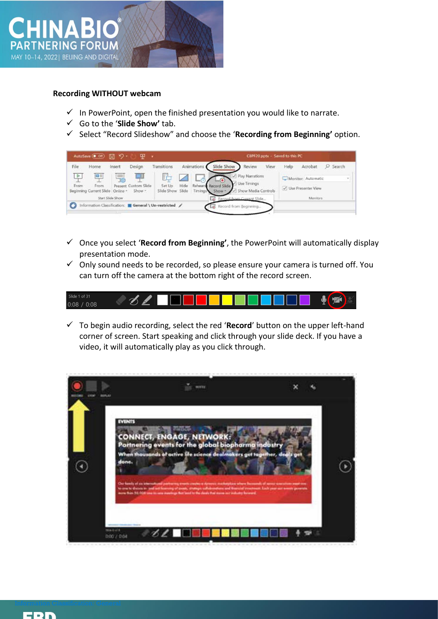

#### **Recording WITHOUT webcam**

- $\checkmark$  In PowerPoint, open the finished presentation you would like to narrate.
- ✓ Go to the '**Slide Show'** tab.
- ✓ Select "Record Slideshow" and choose the '**Recording from Beginning'** option.



- ✓ Once you select '**Record from Beginning'**, the PowerPoint will automatically display presentation mode.
- $\checkmark$  Only sound needs to be recorded, so please ensure your camera is turned off. You can turn off the camera at the bottom right of the record screen.



✓ To begin audio recording, select the red '**Record**' button on the upper left-hand corner of screen. Start speaking and click through your slide deck. If you have a video, it will automatically play as you click through.